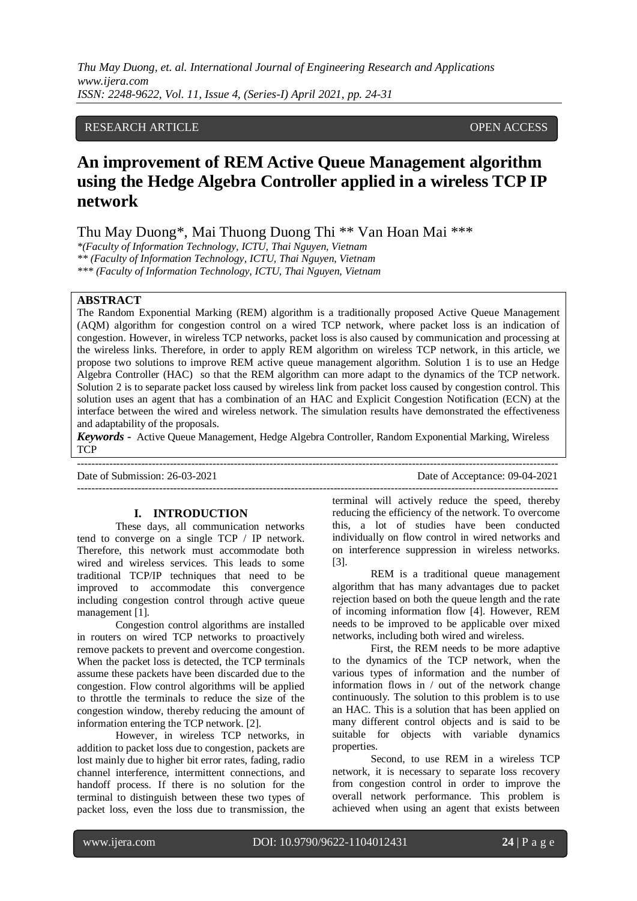## RESEARCH ARTICLE OPEN ACCESS

# **An improvement of REM Active Queue Management algorithm using the Hedge Algebra Controller applied in a wireless TCP IP network**

Thu May Duong\*, Mai Thuong Duong Thi \*\* Van Hoan Mai \*\*\*

*\*(Faculty of Information Technology, ICTU, Thai Nguyen, Vietnam \*\* (Faculty of Information Technology, ICTU, Thai Nguyen, Vietnam*

*\*\*\* (Faculty of Information Technology, ICTU, Thai Nguyen, Vietnam*

## **ABSTRACT**

The Random Exponential Marking (REM) algorithm is a traditionally proposed Active Queue Management (AQM) algorithm for congestion control on a wired TCP network, where packet loss is an indication of congestion. However, in wireless TCP networks, packet loss is also caused by communication and processing at the wireless links. Therefore, in order to apply REM algorithm on wireless TCP network, in this article, we propose two solutions to improve REM active queue management algorithm. Solution 1 is to use an Hedge Algebra Controller (HAC) so that the REM algorithm can more adapt to the dynamics of the TCP network. Solution 2 is to separate packet loss caused by wireless link from packet loss caused by congestion control. This solution uses an agent that has a combination of an HAC and Explicit Congestion Notification (ECN) at the interface between the wired and wireless network. The simulation results have demonstrated the effectiveness and adaptability of the proposals.

*Keywords* **-** Active Queue Management, Hedge Algebra Controller, Random Exponential Marking, Wireless **TCP** 

Date of Submission: 26-03-2021 Date of Acceptance: 09-04-2021

#### **I. INTRODUCTION**

---------------------------------------------------------------------------------------------------------------------------------------

These days, all communication networks tend to converge on a single TCP / IP network. Therefore, this network must accommodate both wired and wireless services. This leads to some traditional TCP/IP techniques that need to be improved to accommodate this convergence including congestion control through active queue management [1].

Congestion control algorithms are installed in routers on wired TCP networks to proactively remove packets to prevent and overcome congestion. When the packet loss is detected, the TCP terminals assume these packets have been discarded due to the congestion. Flow control algorithms will be applied to throttle the terminals to reduce the size of the congestion window, thereby reducing the amount of information entering the TCP network. [2].

However, in wireless TCP networks, in addition to packet loss due to congestion, packets are lost mainly due to higher bit error rates, fading, radio channel interference, intermittent connections, and handoff process. If there is no solution for the terminal to distinguish between these two types of packet loss, even the loss due to transmission, the

terminal will actively reduce the speed, thereby reducing the efficiency of the network. To overcome this, a lot of studies have been conducted individually on flow control in wired networks and on interference suppression in wireless networks. [3].

---------------------------------------------------------------------------------------------------------------------------------------

REM is a traditional queue management algorithm that has many advantages due to packet rejection based on both the queue length and the rate of incoming information flow [4]. However, REM needs to be improved to be applicable over mixed networks, including both wired and wireless.

First, the REM needs to be more adaptive to the dynamics of the TCP network, when the various types of information and the number of information flows in / out of the network change continuously. The solution to this problem is to use an HAC. This is a solution that has been applied on many different control objects and is said to be suitable for objects with variable dynamics properties.

Second, to use REM in a wireless TCP network, it is necessary to separate loss recovery from congestion control in order to improve the overall network performance. This problem is achieved when using an agent that exists between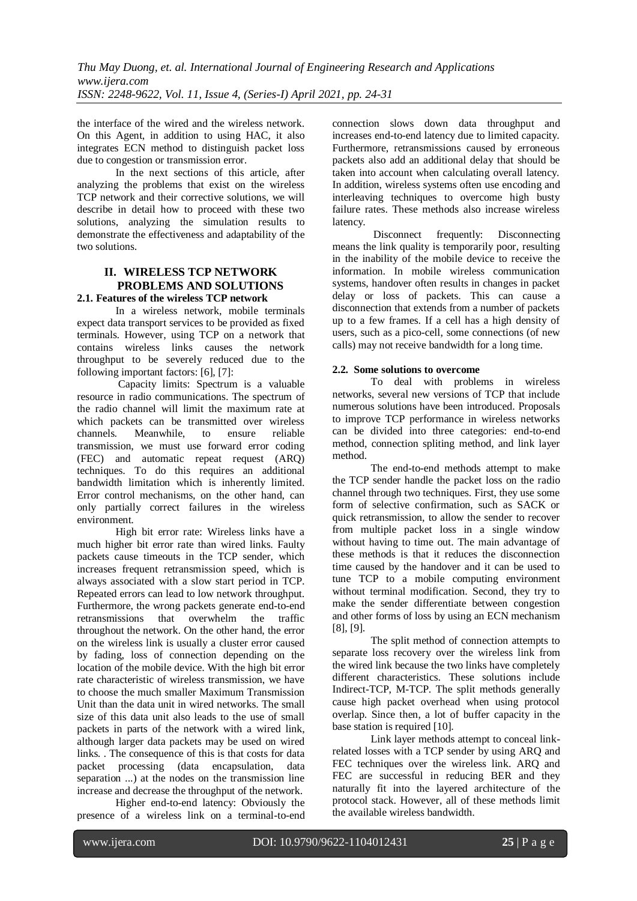the interface of the wired and the wireless network. On this Agent, in addition to using HAC, it also integrates ECN method to distinguish packet loss due to congestion or transmission error.

In the next sections of this article, after analyzing the problems that exist on the wireless TCP network and their corrective solutions, we will describe in detail how to proceed with these two solutions, analyzing the simulation results to demonstrate the effectiveness and adaptability of the two solutions.

## **II. WIRELESS TCP NETWORK PROBLEMS AND SOLUTIONS 2.1. Features of the wireless TCP network**

In a wireless network, mobile terminals expect data transport services to be provided as fixed terminals. However, using TCP on a network that contains wireless links causes the network throughput to be severely reduced due to the following important factors: [6], [7]:

Capacity limits: Spectrum is a valuable resource in radio communications. The spectrum of the radio channel will limit the maximum rate at which packets can be transmitted over wireless channels. Meanwhile, to ensure reliable transmission, we must use forward error coding (FEC) and automatic repeat request (ARQ) techniques. To do this requires an additional bandwidth limitation which is inherently limited. Error control mechanisms, on the other hand, can only partially correct failures in the wireless environment.

High bit error rate: Wireless links have a much higher bit error rate than wired links. Faulty packets cause timeouts in the TCP sender, which increases frequent retransmission speed, which is always associated with a slow start period in TCP. Repeated errors can lead to low network throughput. Furthermore, the wrong packets generate end-to-end retransmissions that overwhelm the traffic throughout the network. On the other hand, the error on the wireless link is usually a cluster error caused by fading, loss of connection depending on the location of the mobile device. With the high bit error rate characteristic of wireless transmission, we have to choose the much smaller Maximum Transmission Unit than the data unit in wired networks. The small size of this data unit also leads to the use of small packets in parts of the network with a wired link, although larger data packets may be used on wired links. . The consequence of this is that costs for data packet processing (data encapsulation, data separation ...) at the nodes on the transmission line increase and decrease the throughput of the network.

Higher end-to-end latency: Obviously the presence of a wireless link on a terminal-to-end connection slows down data throughput and increases end-to-end latency due to limited capacity. Furthermore, retransmissions caused by erroneous packets also add an additional delay that should be taken into account when calculating overall latency. In addition, wireless systems often use encoding and interleaving techniques to overcome high busty failure rates. These methods also increase wireless latency.

Disconnect frequently: Disconnecting means the link quality is temporarily poor, resulting in the inability of the mobile device to receive the information. In mobile wireless communication systems, handover often results in changes in packet delay or loss of packets. This can cause a disconnection that extends from a number of packets up to a few frames. If a cell has a high density of users, such as a pico-cell, some connections (of new calls) may not receive bandwidth for a long time.

## **2.2. Some solutions to overcome**

To deal with problems in wireless networks, several new versions of TCP that include numerous solutions have been introduced. Proposals to improve TCP performance in wireless networks can be divided into three categories: end-to-end method, connection spliting method, and link layer method.

The end-to-end methods attempt to make the TCP sender handle the packet loss on the radio channel through two techniques. First, they use some form of selective confirmation, such as SACK or quick retransmission, to allow the sender to recover from multiple packet loss in a single window without having to time out. The main advantage of these methods is that it reduces the disconnection time caused by the handover and it can be used to tune TCP to a mobile computing environment without terminal modification. Second, they try to make the sender differentiate between congestion and other forms of loss by using an ECN mechanism [8], [9].

The split method of connection attempts to separate loss recovery over the wireless link from the wired link because the two links have completely different characteristics. These solutions include Indirect-TCP, M-TCP. The split methods generally cause high packet overhead when using protocol overlap. Since then, a lot of buffer capacity in the base station is required [10].

Link layer methods attempt to conceal linkrelated losses with a TCP sender by using ARQ and FEC techniques over the wireless link. ARO and FEC are successful in reducing BER and they naturally fit into the layered architecture of the protocol stack. However, all of these methods limit the available wireless bandwidth.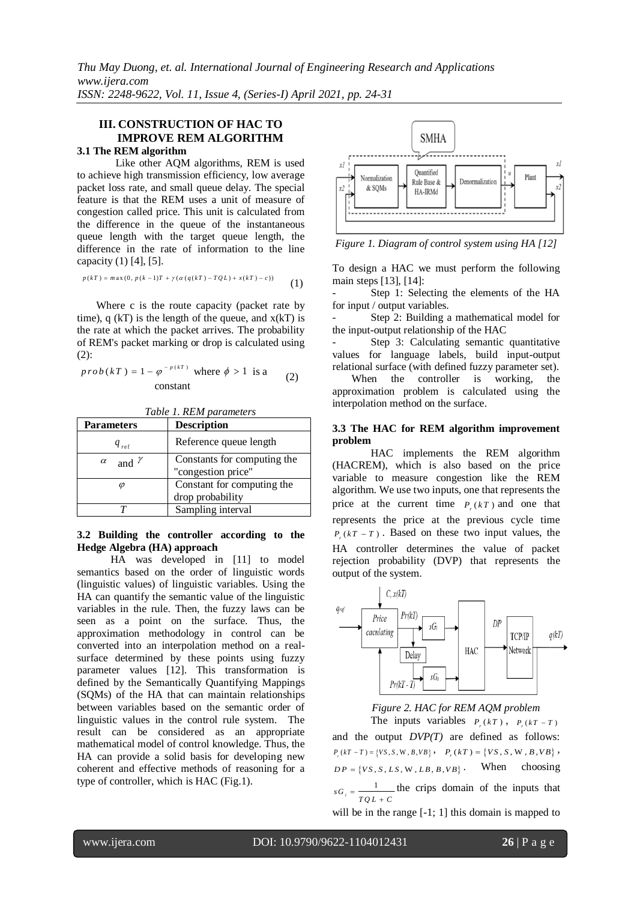## **III. CONSTRUCTION OF HAC TO IMPROVE REM ALGORITHM**

## **3.1 The REM algorithm**

Like other AQM algorithms, REM is used to achieve high transmission efficiency, low average packet loss rate, and small queue delay. The special feature is that the REM uses a unit of measure of congestion called price. This unit is calculated from the difference in the queue of the instantaneous queue length with the target queue length, the difference in the rate of information to the line

capacity (1) [4], [5].  
\n
$$
p(kT) = \max(0, p(k-1)T + \gamma(\alpha(q(kT) - TQL) + x(kT) - c))
$$
\n(1)

Where c is the route capacity (packet rate by time), q  $(kT)$  is the length of the queue, and  $x(kT)$  is the rate at which the packet arrives. The probability of REM's packet marking or drop is calculated using (2):

$$
prob(kT) = 1 - \varphi^{-p(kT)} \text{ where } \phi > 1 \text{ is a}
$$
constant (2)

| <b>Parameters</b>        | <b>Description</b>                                |
|--------------------------|---------------------------------------------------|
| $q_{ref}$                | Reference queue length                            |
| and $\gamma$<br>$\alpha$ | Constants for computing the<br>"congestion price" |
|                          | Constant for computing the<br>drop probability    |
|                          | Sampling interval                                 |

### **3.2 Building the controller according to the Hedge Algebra (HA) approach**

HA was developed in [11] to model semantics based on the order of linguistic words (linguistic values) of linguistic variables. Using the HA can quantify the semantic value of the linguistic variables in the rule. Then, the fuzzy laws can be seen as a point on the surface. Thus, the approximation methodology in control can be converted into an interpolation method on a realsurface determined by these points using fuzzy parameter values [12]. This transformation is defined by the Semantically Quantifying Mappings (SQMs) of the HA that can maintain relationships between variables based on the semantic order of linguistic values in the control rule system. The result can be considered as an appropriate mathematical model of control knowledge. Thus, the HA can provide a solid basis for developing new coherent and effective methods of reasoning for a type of controller, which is HAC (Fig.1).



*Figure 1. Diagram of control system using HA [\[12\]](#page-6-2)*

To design a HAC we must perform the following main steps [13], [14]:

Step 1: Selecting the elements of the HA for input / output variables.

Step 2: Building a mathematical model for the input-output relationship of the HAC

Step 3: Calculating semantic quantitative values for language labels, build input-output relational surface (with defined fuzzy parameter set).

When the controller is working, the approximation problem is calculated using the interpolation method on the surface.

#### **3.3 The HAC for REM algorithm improvement problem**

HAC implements the REM algorithm (HACREM), which is also based on the price variable to measure congestion like the REM algorithm. We use two inputs, one that represents the price at the current time  $P_r(kT)$  and one that represents the price at the previous cycle time  $P_{r}(kT - T)$ . Based on these two input values, the HA controller determines the value of packet rejection probability (DVP) that represents the output of the system.



## *Figure 2. HAC for REM AQM problem*

The inputs variables  $P_r(kT)$ ,  $P_r(kT - T)$ and the output *DVP(T)* are defined as follows:  $P_r(kT - T) = \{VS, S, W, B, VB\}$ ,  $P_r(kT) = \{VS, S, W, B, VB\}$ ,  $DP = \{VS, S, LS, W, LB, B, VB\}$ . When choosing  $sG_i = \frac{1}{TQL + C}$ the crips domain of the inputs that will be in the range  $[-1; 1]$  this domain is mapped to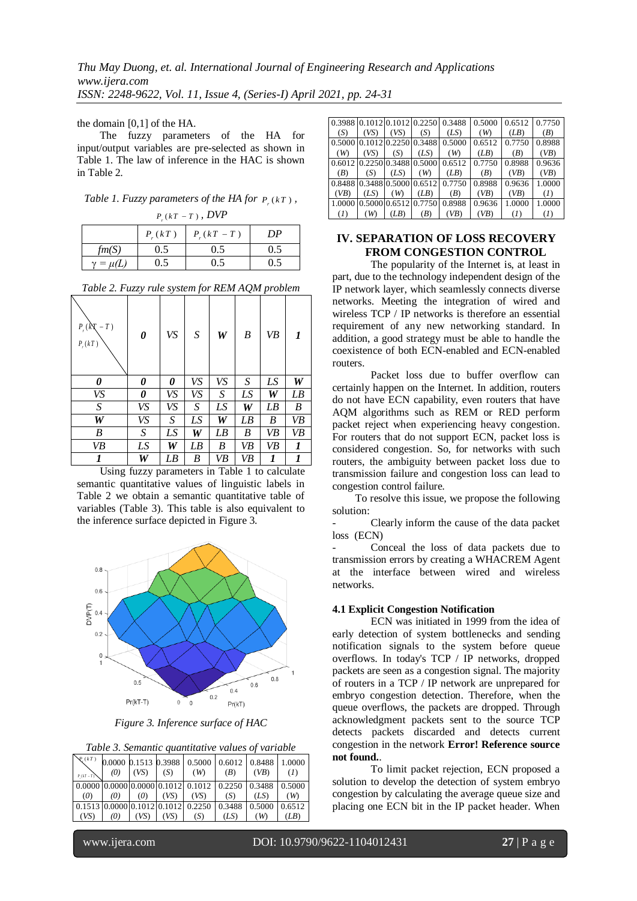the domain [0,1] of the HA.

The fuzzy parameters of the HA for input/output variables are pre-selected as shown in Table 1. The law of inference in the HAC is shown in Table 2.

*Table 1. Fuzzy parameters of the HA for*  $P_r(kT)$ ,

| $P_{r}(kT-T)$ , DVP |             |               |     |  |  |  |  |  |
|---------------------|-------------|---------------|-----|--|--|--|--|--|
|                     | $P_{r}(kT)$ | $P_{r}(kT-T)$ | DP  |  |  |  |  |  |
| fm(S)               | 0.5         | 0.5           | 0.5 |  |  |  |  |  |
| $\gamma = \mu(L)$   | 0.5         | $0.5^{\circ}$ | 0.5 |  |  |  |  |  |

| Table 2. Fuzzy rule system for REM AQM problem |  |  |  |  |
|------------------------------------------------|--|--|--|--|
|                                                |  |  |  |  |

| $P_{r}(kX)$<br>$-T)$<br>$P_r(kT)$ | 0  | VS | S                | W  | B  | VB |    |
|-----------------------------------|----|----|------------------|----|----|----|----|
| 0                                 | 0  | 0  | VS               | VS | S  | LS | W  |
| VS                                | 0  | VS | VS               | S  | LS | W  | LB |
| S                                 | VS | VS | S                | LS | W  | LB | B  |
| W                                 | VS | S  | LS               | W  | LB | B  | VB |
| B                                 | S  | LS | W                | LB | B  | VB | VB |
| VB                                | LS | W  | LB               | B  | VB | VB | 1  |
| 1                                 | W  | LB | $\boldsymbol{B}$ | VB | VB |    |    |

Using fuzzy parameters in Table 1 to calculate semantic quantitative values of linguistic labels in Table 2 we obtain a semantic quantitative table of variables (Table 3). This table is also equivalent to the inference surface depicted in Figure 3.



*Figure 3. Inference surface of HAC*

|  |  |  |  | Table 3. Semantic quantitative values of variable |  |  |
|--|--|--|--|---------------------------------------------------|--|--|
|  |  |  |  |                                                   |  |  |

| $\forall (kT)$<br>$P(kT-T)$ | (0) | (VS) | (S)  | (W)  | 0.0000 0.1513 0.3988 0.5000 0.6012 0.8488 1.0000<br>( <i>B</i> )                                         | (VB) | (I)  |
|-----------------------------|-----|------|------|------|----------------------------------------------------------------------------------------------------------|------|------|
| (0)                         | (0) | (0)  | (VS) | (VS) | $\mid 0.0000 \mid 0.0000 \mid 0.0000 \mid 0.1012 \mid 0.1012 \mid 0.2250 \mid 0.3488 \mid 0.5000$<br>(S) | (LS) | (W)  |
| (VS)                        | (0) | (VS) | (VS) | (S)  | 0.1513 0.0000 0.1012 0.1012 0.2250 0.3488 0.5000 0.6512<br>(LS)                                          | (W)  | (LB) |

|                                    |      |      |      |                                    | 0.3988 0.1012 0.1012 0.2250 0.3488 0.5000 0.6512 0.7750 |              |              |
|------------------------------------|------|------|------|------------------------------------|---------------------------------------------------------|--------------|--------------|
| (S)                                | (VS) | (VS) | (S)  | (LS)                               | (W)                                                     | (LB)         | ( <i>B</i> ) |
|                                    |      |      |      | 0.5000 0.1012 0.2250 0.3488 0.5000 | 0.6512                                                  | 0.7750       | 0.8988       |
| (W)                                | (VS) | (S)  | (LS) | (W)                                | (LB)                                                    | ( <i>B</i> ) | (VB)         |
|                                    |      |      |      | 0.6012 0.2250 0.3488 0.5000 0.6512 | 0.7750                                                  | 0.8988       | 0.9636       |
| (B)                                | (S)  | (LS) | (W)  | (LB)                               | ( <i>B</i> )                                            | (VB)         | (VB)         |
|                                    |      |      |      | 0.8488 0.3488 0.5000 0.6512 0.7750 | 0.8988                                                  | 0.9636       | 1.0000       |
| (VB)                               | (LS) | (W)  | (LB) | ( <i>B</i> )                       | (VB)                                                    | (VB)         | (I)          |
| 1.0000 0.5000 0.6512 0.7750 0.8988 |      |      |      |                                    | 0.9636                                                  | 1.0000       | 1.0000       |
| (I)                                | (W)  | (LB) | (B)  | (VB)                               | (VB)                                                    | (I)          | (I)          |

## **IV. SEPARATION OF LOSS RECOVERY FROM CONGESTION CONTROL**

The popularity of the Internet is, at least in part, due to the technology independent design of the IP network layer, which seamlessly connects diverse networks. Meeting the integration of wired and wireless TCP / IP networks is therefore an essential requirement of any new networking standard. In addition, a good strategy must be able to handle the coexistence of both ECN-enabled and ECN-enabled routers.

Packet loss due to buffer overflow can certainly happen on the Internet. In addition, routers do not have ECN capability, even routers that have AQM algorithms such as REM or RED perform packet reject when experiencing heavy congestion. For routers that do not support ECN, packet loss is considered congestion. So, for networks with such routers, the ambiguity between packet loss due to transmission failure and congestion loss can lead to congestion control failure.

To resolve this issue, we propose the following solution:

- Clearly inform the cause of the data packet loss (ECN)

Conceal the loss of data packets due to transmission errors by creating a WHACREM Agent at the interface between wired and wireless networks.

#### **4.1 Explicit Congestion Notification**

ECN was initiated in 1999 from the idea of early detection of system bottlenecks and sending notification signals to the system before queue overflows. In today's TCP / IP networks, dropped packets are seen as a congestion signal. The majority of routers in a TCP / IP network are unprepared for embryo congestion detection. Therefore, when the queue overflows, the packets are dropped. Through acknowledgment packets sent to the source TCP detects packets discarded and detects current congestion in the network **Error! Reference source not found.**.

To limit packet rejection, ECN proposed a solution to develop the detection of system embryo congestion by calculating the average queue size and placing one ECN bit in the IP packet header. When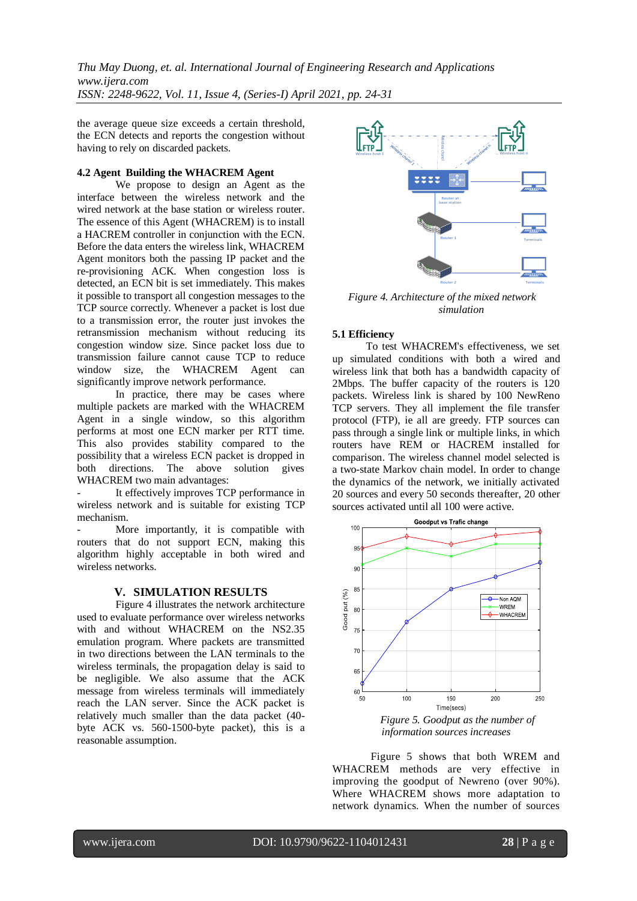the average queue size exceeds a certain threshold, the ECN detects and reports the congestion without having to rely on discarded packets.

#### **4.2 Agent Building the WHACREM Agent**

We propose to design an Agent as the interface between the wireless network and the wired network at the base station or wireless router. The essence of this Agent (WHACREM) is to install a HACREM controller in conjunction with the ECN. Before the data enters the wireless link, WHACREM Agent monitors both the passing IP packet and the re-provisioning ACK. When congestion loss is detected, an ECN bit is set immediately. This makes it possible to transport all congestion messages to the TCP source correctly. Whenever a packet is lost due to a transmission error, the router just invokes the retransmission mechanism without reducing its congestion window size. Since packet loss due to transmission failure cannot cause TCP to reduce window size, the WHACREM Agent can significantly improve network performance.

In practice, there may be cases where multiple packets are marked with the WHACREM Agent in a single window, so this algorithm performs at most one ECN marker per RTT time. This also provides stability compared to the possibility that a wireless ECN packet is dropped in both directions. The above solution gives WHACREM two main advantages:

It effectively improves TCP performance in wireless network and is suitable for existing TCP mechanism.

More importantly, it is compatible with routers that do not support ECN, making this algorithm highly acceptable in both wired and wireless networks.

### **V. SIMULATION RESULTS**

Figure 4 illustrates the network architecture used to evaluate performance over wireless networks with and without WHACREM on the NS2.35 emulation program. Where packets are transmitted in two directions between the LAN terminals to the wireless terminals, the propagation delay is said to be negligible. We also assume that the ACK message from wireless terminals will immediately reach the LAN server. Since the ACK packet is relatively much smaller than the data packet (40 byte ACK vs. 560-1500-byte packet), this is a reasonable assumption.



*Figure 4. Architecture of the mixed network simulation*

#### **5.1 Efficiency**

To test WHACREM's effectiveness, we set up simulated conditions with both a wired and wireless link that both has a bandwidth capacity of 2Mbps. The buffer capacity of the routers is 120 packets. Wireless link is shared by 100 NewReno TCP servers. They all implement the file transfer protocol (FTP), ie all are greedy. FTP sources can pass through a single link or multiple links, in which routers have REM or HACREM installed for comparison. The wireless channel model selected is a two-state Markov chain model. In order to change the dynamics of the network, we initially activated 20 sources and every 50 seconds thereafter, 20 other sources activated until all 100 were active.



*information sources increases*

Figure 5 shows that both WREM and WHACREM methods are very effective in improving the goodput of Newreno (over 90%). Where WHACREM shows more adaptation to network dynamics. When the number of sources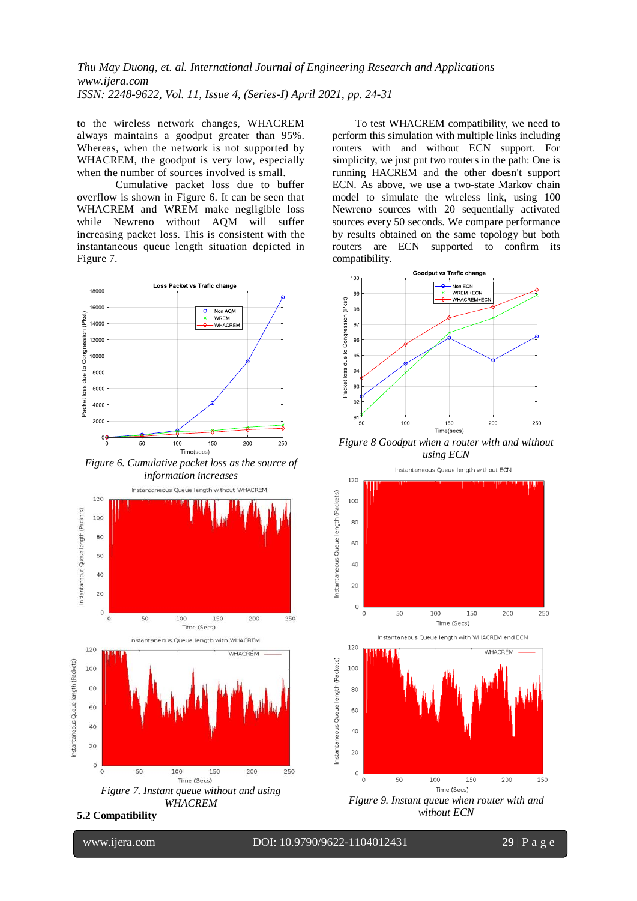to the wireless network changes, WHACREM always maintains a goodput greater than 95%. Whereas, when the network is not supported by WHACREM, the goodput is very low, especially when the number of sources involved is small.

Cumulative packet loss due to buffer overflow is shown in Figure 6. It can be seen that WHACREM and WREM make negligible loss while Newreno without AQM will suffer increasing packet loss. This is consistent with the instantaneous queue length situation depicted in Figure 7.



*Figure 6. Cumulative packet loss as the source of information increases*



*WHACREM*

**5.2 Compatibility**

l

www.ijera.com DOI: 10.9790/9622-1104012431 **29** | P a g e

To test WHACREM compatibility, we need to perform this simulation with multiple links including routers with and without ECN support. For simplicity, we just put two routers in the path: One is running HACREM and the other doesn't support ECN. As above, we use a two-state Markov chain model to simulate the wireless link, using 100 Newreno sources with 20 sequentially activated sources every 50 seconds. We compare performance by results obtained on the same topology but both routers are ECN supported to confirm its compatibility.



*Figure 8 Goodput when a router with and without using ECN*

Instantaneous Oueue length without ECN



*without ECN*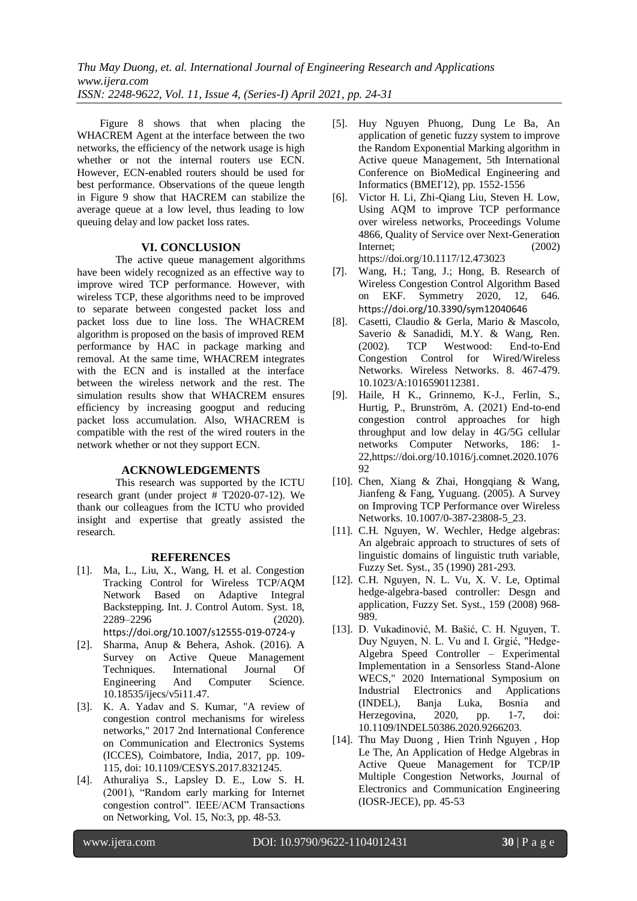Figure 8 shows that when placing the WHACREM Agent at the interface between the two networks, the efficiency of the network usage is high whether or not the internal routers use ECN. However, ECN-enabled routers should be used for best performance. Observations of the queue length in Figure 9 show that HACREM can stabilize the average queue at a low level, thus leading to low queuing delay and low packet loss rates.

#### **VI. CONCLUSION**

The active queue management algorithms have been widely recognized as an effective way to improve wired TCP performance. However, with wireless TCP, these algorithms need to be improved to separate between congested packet loss and packet loss due to line loss. The WHACREM algorithm is proposed on the basis of improved REM performance by HAC in package marking and removal. At the same time, WHACREM integrates with the ECN and is installed at the interface between the wireless network and the rest. The simulation results show that WHACREM ensures efficiency by increasing googput and reducing packet loss accumulation. Also, WHACREM is compatible with the rest of the wired routers in the network whether or not they support ECN.

#### **ACKNOWLEDGEMENTS**

This research was supported by the ICTU research grant (under project # T2020-07-12). We thank our colleagues from the ICTU who provided insight and expertise that greatly assisted the research.

#### **REFERENCES**

- [1]. Ma, L., Liu, X., Wang, H. et al. Congestion Tracking Control for Wireless TCP/AQM Network Based on Adaptive Integral Backstepping. Int. J. Control Autom. Syst. 18, 2289–2296 (2020). <https://doi.org/10.1007/s12555-019-0724-y>
- [2]. Sharma, Anup & Behera, Ashok. (2016). A Survey on Active Queue Management Techniques. International Journal Of Engineering And Computer Science. 10.18535/ijecs/v5i11.47.
- [3]. K. A. Yadav and S. Kumar, "A review of congestion control mechanisms for wireless networks," 2017 2nd International Conference on Communication and Electronics Systems (ICCES), Coimbatore, India, 2017, pp. 109- 115, doi: 10.1109/CESYS.2017.8321245.
- <span id="page-6-0"></span>[4]. Athuraliya S., Lapsley D. E., Low S. H. (2001), "Random early marking for Internet congestion control". IEEE/ACM Transactions on Networking, Vol. 15, No:3, pp. 48-53.
- <span id="page-6-1"></span>[5]. Huy Nguyen Phuong, Dung Le Ba, An application of genetic fuzzy system to improve the Random Exponential Marking algorithm in Active queue Management, 5th International Conference on BioMedical Engineering and Informatics (BMEI'12), pp. 1552-1556
- [6]. Victor H. Li, Zhi-Qiang Liu, Steven H. Low, Using AQM to improve TCP performance over wireless networks, Proceedings Volume 4866, Quality of Service over Next-Generation Internet; (2002) https://doi.org/10.1117/12.473023
- [7]. Wang, H.; Tang, J.; Hong, B. Research of Wireless Congestion Control Algorithm Based on EKF. Symmetry 2020, 12, 646. <https://doi.org/10.3390/sym12040646>
- [8]. Casetti, Claudio & Gerla, Mario & Mascolo, Saverio & Sanadidi, M.Y. & Wang, Ren. (2002). TCP Westwood: End-to-End Congestion Control for Wired/Wireless Networks. Wireless Networks. 8. 467-479. 10.1023/A:1016590112381.
- [9]. Haile, H K., Grinnemo, K-J., Ferlin, S., Hurtig, P., Brunström, A. (2021) End-to-end congestion control approaches for high throughput and low delay in 4G/5G cellular networks Computer Networks, 186: 1- 2[2,https://doi.org/10.1016/j.comnet.2020.1076](https://doi.org/10.1016/j.comnet.2020.107692) [92](https://doi.org/10.1016/j.comnet.2020.107692)
- [10]. Chen, Xiang & Zhai, Hongqiang & Wang, Jianfeng & Fang, Yuguang. (2005). A Survey on Improving TCP Performance over Wireless Networks. 10.1007/0-387-23808-5\_23.
- [11]. C.H. Nguyen, W. Wechler, Hedge algebras: An algebraic approach to structures of sets of linguistic domains of linguistic truth variable, Fuzzy Set. Syst., 35 (1990) 281-293.
- <span id="page-6-2"></span>[12]. C.H. Nguyen, N. L. Vu, X. V. Le, Optimal hedge-algebra-based controller: Desgn and application, Fuzzy Set. Syst., 159 (2008) 968- 989.
- [13]. D. Vukadinović, M. Bašić, C. H. Nguyen, T. Duy Nguyen, N. L. Vu and I. Grgić, "Hedge-Algebra Speed Controller – Experimental Implementation in a Sensorless Stand-Alone WECS," 2020 International Symposium on Industrial Electronics and Applications (INDEL), Banja Luka, Bosnia and Herzegovina, 2020, pp. 1-7, doi: 10.1109/INDEL50386.2020.9266203.
- [14]. Thu May Duong , Hien Trinh Nguyen , Hop Le The, An Application of Hedge Algebras in Active Queue Management for TCP/IP Multiple Congestion Networks, Journal of Electronics and Communication Engineering (IOSR-JECE), pp. 45-53